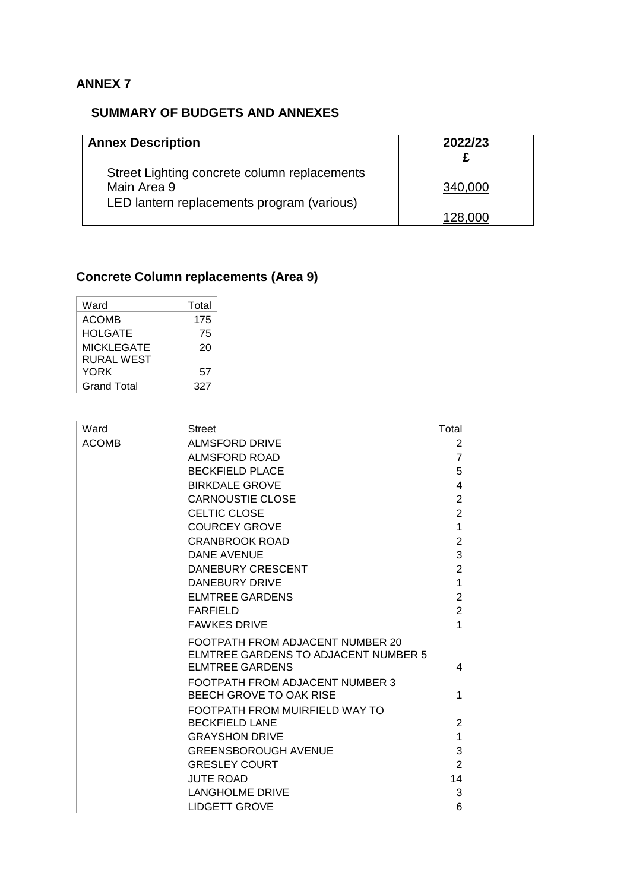## **ANNEX 7**

## **SUMMARY OF BUDGETS AND ANNEXES**

| <b>Annex Description</b>                     | 2022/23 |
|----------------------------------------------|---------|
| Street Lighting concrete column replacements |         |
| Main Area 9                                  | 340,000 |
| LED lantern replacements program (various)   |         |
|                                              | 128.000 |

## **Concrete Column replacements (Area 9)**

| Ward               | Total |
|--------------------|-------|
| <b>ACOMB</b>       | 175   |
| <b>HOLGATE</b>     | 75    |
| <b>MICKLEGATE</b>  | 20    |
| RURAL WEST         |       |
| YORK               | 57    |
| <b>Grand Total</b> | 327   |

| Ward         | <b>Street</b>                                                                                             | Total          |
|--------------|-----------------------------------------------------------------------------------------------------------|----------------|
| <b>ACOMB</b> | <b>ALMSFORD DRIVE</b>                                                                                     | 2              |
|              | ALMSFORD ROAD                                                                                             | $\overline{7}$ |
|              | <b>BECKFIELD PLACE</b>                                                                                    | 5              |
|              | <b>BIRKDALE GROVE</b>                                                                                     | 4              |
|              | <b>CARNOUSTIE CLOSE</b>                                                                                   | $\overline{2}$ |
|              | <b>CELTIC CLOSE</b>                                                                                       | $\overline{2}$ |
|              | <b>COURCEY GROVE</b>                                                                                      | 1              |
|              | <b>CRANBROOK ROAD</b>                                                                                     | 2              |
|              | DANE AVENUE                                                                                               | 3              |
|              | <b>DANEBURY CRESCENT</b>                                                                                  | $\overline{2}$ |
|              | DANEBURY DRIVE                                                                                            | 1              |
|              | <b>ELMTREE GARDENS</b>                                                                                    | $\overline{2}$ |
|              | <b>FARFIELD</b>                                                                                           | $\overline{2}$ |
|              | <b>FAWKES DRIVE</b>                                                                                       | 1              |
|              | FOOTPATH FROM ADJACENT NUMBER 20<br><b>ELMTREE GARDENS TO ADJACENT NUMBER 5</b><br><b>ELMTREE GARDENS</b> | 4              |
|              | FOOTPATH FROM ADJACENT NUMBER 3                                                                           |                |
|              | BEECH GROVE TO OAK RISE                                                                                   | 1              |
|              | FOOTPATH FROM MUIRFIELD WAY TO                                                                            |                |
|              | <b>BECKFIELD LANE</b>                                                                                     | 2              |
|              | <b>GRAYSHON DRIVE</b>                                                                                     | 1              |
|              | <b>GREENSBOROUGH AVENUE</b>                                                                               | 3              |
|              | <b>GRESLEY COURT</b>                                                                                      | 2              |
|              | <b>JUTE ROAD</b>                                                                                          | 14             |
|              | LANGHOLME DRIVE                                                                                           | 3              |
|              | <b>LIDGETT GROVE</b>                                                                                      | 6              |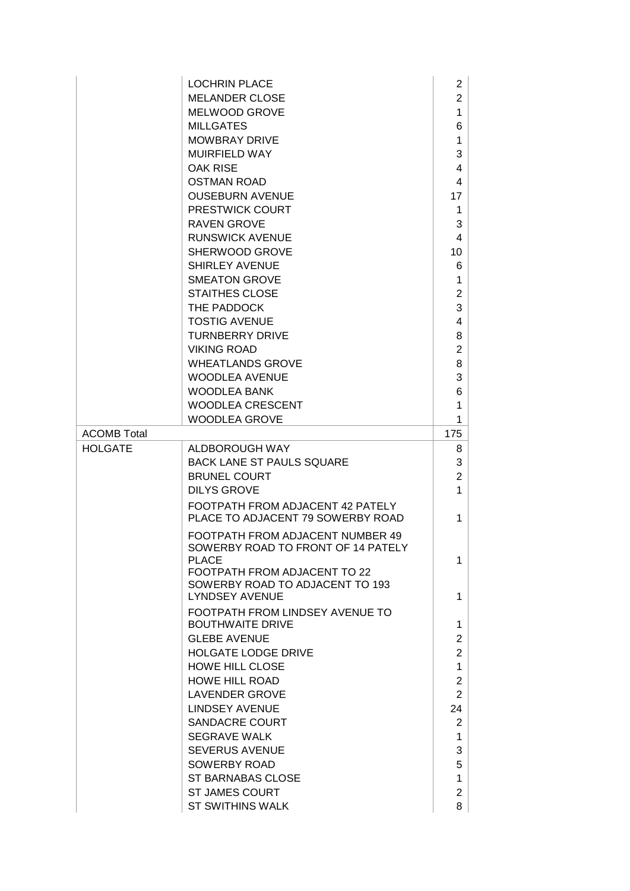|                    | <b>LOCHRIN PLACE</b>                                                  | $\overline{2}$          |
|--------------------|-----------------------------------------------------------------------|-------------------------|
|                    | <b>MELANDER CLOSE</b>                                                 | $\overline{2}$          |
|                    | <b>MELWOOD GROVE</b>                                                  | 1                       |
|                    | <b>MILLGATES</b>                                                      | 6                       |
|                    | <b>MOWBRAY DRIVE</b>                                                  | 1                       |
|                    | <b>MUIRFIELD WAY</b>                                                  | 3                       |
|                    | OAK RISE                                                              | 4                       |
|                    | <b>OSTMAN ROAD</b>                                                    | 4                       |
|                    | <b>OUSEBURN AVENUE</b>                                                | 17                      |
|                    | <b>PRESTWICK COURT</b>                                                | 1                       |
|                    | <b>RAVEN GROVE</b>                                                    | 3                       |
|                    | <b>RUNSWICK AVENUE</b>                                                | $\overline{\mathbf{4}}$ |
|                    | SHERWOOD GROVE                                                        | 10                      |
|                    | <b>SHIRLEY AVENUE</b>                                                 | 6                       |
|                    | <b>SMEATON GROVE</b>                                                  | 1                       |
|                    | <b>STAITHES CLOSE</b>                                                 | $\overline{2}$          |
|                    | THE PADDOCK                                                           | 3                       |
|                    | <b>TOSTIG AVENUE</b>                                                  | 4                       |
|                    | <b>TURNBERRY DRIVE</b>                                                | 8                       |
|                    | <b>VIKING ROAD</b>                                                    | 2                       |
|                    | <b>WHEATLANDS GROVE</b>                                               | 8                       |
|                    | <b>WOODLEA AVENUE</b>                                                 | 3                       |
|                    | <b>WOODLEA BANK</b>                                                   | 6                       |
|                    | <b>WOODLEA CRESCENT</b>                                               | 1                       |
|                    | <b>WOODLEA GROVE</b>                                                  | 1                       |
| <b>ACOMB Total</b> |                                                                       | 175                     |
| <b>HOLGATE</b>     | ALDBOROUGH WAY                                                        | 8                       |
|                    | <b>BACK LANE ST PAULS SQUARE</b>                                      | 3                       |
|                    | <b>BRUNEL COURT</b>                                                   | 2                       |
|                    | <b>DILYS GROVE</b>                                                    | 1                       |
|                    | FOOTPATH FROM ADJACENT 42 PATELY<br>PLACE TO ADJACENT 79 SOWERBY ROAD | 1                       |
|                    | FOOTPATH FROM ADJACENT NUMBER 49                                      |                         |
|                    | SOWERBY ROAD TO FRONT OF 14 PATELY                                    |                         |
|                    | PLACE                                                                 | 1                       |
|                    | FOOTPATH FROM ADJACENT TO 22<br>SOWERBY ROAD TO ADJACENT TO 193       |                         |
|                    | <b>LYNDSEY AVENUE</b>                                                 | 1                       |
|                    | FOOTPATH FROM LINDSEY AVENUE TO                                       |                         |
|                    | <b>BOUTHWAITE DRIVE</b>                                               | 1                       |
|                    | <b>GLEBE AVENUE</b>                                                   | $\overline{2}$          |
|                    | <b>HOLGATE LODGE DRIVE</b>                                            | $\overline{2}$          |
|                    | <b>HOWE HILL CLOSE</b>                                                | 1                       |
|                    | <b>HOWE HILL ROAD</b>                                                 | $\overline{2}$          |
|                    | <b>LAVENDER GROVE</b>                                                 | $\overline{2}$          |
|                    | <b>LINDSEY AVENUE</b>                                                 | 24                      |
|                    | <b>SANDACRE COURT</b>                                                 | 2                       |
|                    | <b>SEGRAVE WALK</b>                                                   | 1                       |
|                    | <b>SEVERUS AVENUE</b>                                                 | 3                       |
|                    | SOWERBY ROAD                                                          | 5                       |
|                    | ST BARNABAS CLOSE                                                     | 1                       |
|                    | <b>ST JAMES COURT</b>                                                 | $\overline{2}$          |
|                    |                                                                       |                         |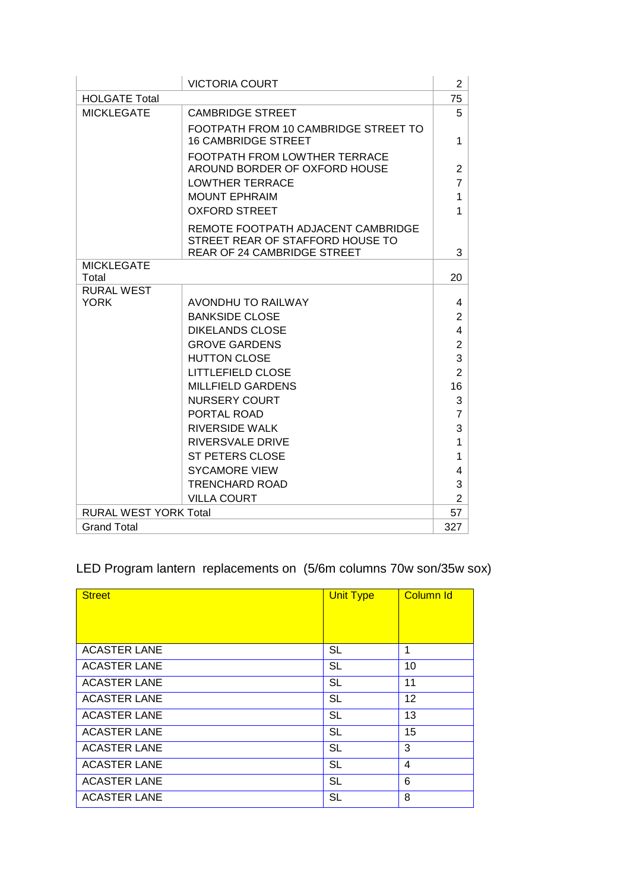|                              | <b>VICTORIA COURT</b>                                                  | $\overline{2}$ |
|------------------------------|------------------------------------------------------------------------|----------------|
| <b>HOLGATE Total</b>         |                                                                        | 75             |
| <b>MICKLEGATE</b>            | <b>CAMBRIDGE STREET</b>                                                | 5              |
|                              | FOOTPATH FROM 10 CAMBRIDGE STREET TO<br><b>16 CAMBRIDGE STREET</b>     | 1              |
|                              | <b>FOOTPATH FROM LOWTHER TERRACE</b><br>AROUND BORDER OF OXFORD HOUSE  | $\overline{2}$ |
|                              | <b>LOWTHER TERRACE</b>                                                 | $\overline{7}$ |
|                              | <b>MOUNT EPHRAIM</b>                                                   | $\mathbf{1}$   |
|                              | <b>OXFORD STREET</b>                                                   | 1              |
|                              | REMOTE FOOTPATH ADJACENT CAMBRIDGE<br>STREET REAR OF STAFFORD HOUSE TO |                |
| <b>MICKLEGATE</b>            | <b>REAR OF 24 CAMBRIDGE STREET</b>                                     | 3              |
| Total                        |                                                                        | 20             |
| <b>RURAL WEST</b>            |                                                                        |                |
| <b>YORK</b>                  | AVONDHU TO RAILWAY                                                     | 4              |
|                              | <b>BANKSIDE CLOSE</b>                                                  | $\overline{2}$ |
|                              | <b>DIKELANDS CLOSE</b>                                                 | 4              |
|                              | <b>GROVE GARDENS</b>                                                   | $\overline{c}$ |
|                              | <b>HUTTON CLOSE</b>                                                    | 3              |
|                              | <b>LITTLEFIELD CLOSE</b>                                               | $\overline{2}$ |
|                              | <b>MILLFIELD GARDENS</b>                                               | 16             |
|                              | <b>NURSERY COURT</b>                                                   | 3              |
|                              | PORTAL ROAD                                                            | $\overline{7}$ |
|                              | RIVERSIDE WALK                                                         | 3              |
|                              | <b>RIVERSVALE DRIVE</b>                                                | 1              |
|                              | <b>ST PETERS CLOSE</b>                                                 | 1              |
|                              | <b>SYCAMORE VIEW</b>                                                   | 4              |
|                              | <b>TRENCHARD ROAD</b>                                                  | 3              |
|                              | <b>VILLA COURT</b>                                                     | $\overline{2}$ |
| <b>RURAL WEST YORK Total</b> |                                                                        | 57             |
| <b>Grand Total</b>           |                                                                        | 327            |

## LED Program lantern replacements on (5/6m columns 70w son/35w sox)

| <b>Street</b>       | <b>Unit Type</b> | <b>Column Id</b> |
|---------------------|------------------|------------------|
|                     |                  |                  |
| <b>ACASTER LANE</b> | <b>SL</b>        | 1                |
| <b>ACASTER LANE</b> | <b>SL</b>        | 10               |
| <b>ACASTER LANE</b> | <b>SL</b>        | 11               |
| <b>ACASTER LANE</b> | <b>SL</b>        | 12               |
| <b>ACASTER LANE</b> | <b>SL</b>        | 13               |
| <b>ACASTER LANE</b> | <b>SL</b>        | 15               |
| <b>ACASTER LANE</b> | <b>SL</b>        | 3                |
| <b>ACASTER LANE</b> | <b>SL</b>        | $\overline{4}$   |
| <b>ACASTER LANE</b> | <b>SL</b>        | 6                |
| <b>ACASTER LANE</b> | <b>SL</b>        | 8                |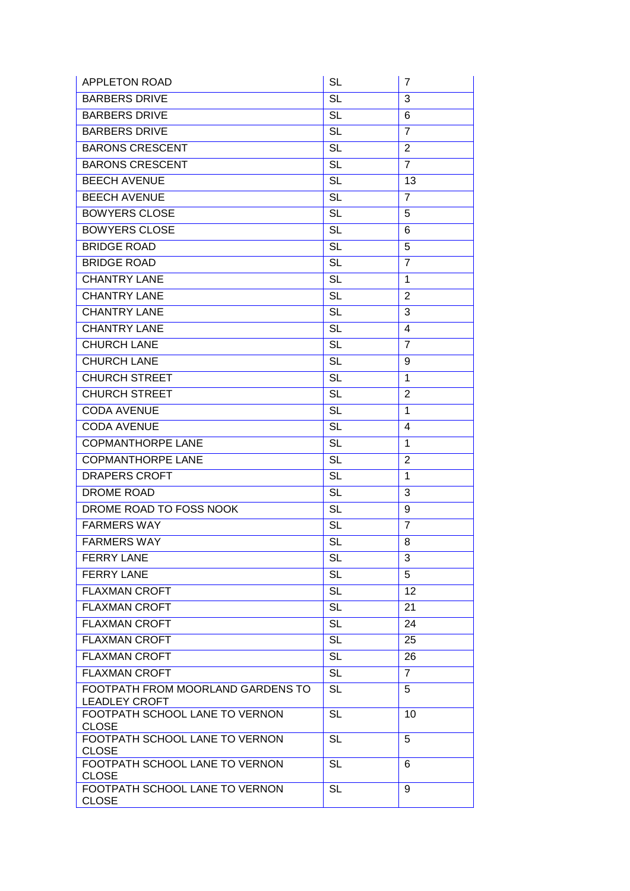| <b>APPLETON ROAD</b>                                      | <b>SL</b>              | $\overline{7}$ |
|-----------------------------------------------------------|------------------------|----------------|
| <b>BARBERS DRIVE</b>                                      | <b>SL</b>              | 3              |
| <b>BARBERS DRIVE</b>                                      | <b>SL</b>              | 6              |
| <b>BARBERS DRIVE</b>                                      | <b>SL</b>              | $\overline{7}$ |
| <b>BARONS CRESCENT</b>                                    | <b>SL</b>              | 2              |
| <b>BARONS CRESCENT</b>                                    | <b>SL</b>              | $\overline{7}$ |
| <b>BEECH AVENUE</b>                                       | $\overline{SL}$        | 13             |
| <b>BEECH AVENUE</b>                                       | <b>SL</b>              | $\overline{7}$ |
| <b>BOWYERS CLOSE</b>                                      | <b>SL</b>              | 5              |
| <b>BOWYERS CLOSE</b>                                      | <b>SL</b>              | 6              |
| <b>BRIDGE ROAD</b>                                        | <b>SL</b>              | 5              |
| <b>BRIDGE ROAD</b>                                        | <b>SL</b>              | $\overline{7}$ |
| <b>CHANTRY LANE</b>                                       | <b>SL</b>              | $\mathbf{1}$   |
| <b>CHANTRY LANE</b>                                       | <b>SL</b>              | $\overline{2}$ |
| <b>CHANTRY LANE</b>                                       | <b>SL</b>              | 3              |
| <b>CHANTRY LANE</b>                                       | $\overline{\text{SL}}$ | $\overline{4}$ |
| <b>CHURCH LANE</b>                                        | <b>SL</b>              | $\overline{7}$ |
| <b>CHURCH LANE</b>                                        | <b>SL</b>              | 9              |
| <b>CHURCH STREET</b>                                      | <b>SL</b>              | $\mathbf{1}$   |
| <b>CHURCH STREET</b>                                      | <b>SL</b>              | 2              |
| <b>CODA AVENUE</b>                                        | <b>SL</b>              | $\mathbf{1}$   |
| <b>CODA AVENUE</b>                                        | <b>SL</b>              | 4              |
| <b>COPMANTHORPE LANE</b>                                  | <b>SL</b>              | 1              |
| <b>COPMANTHORPE LANE</b>                                  | <b>SL</b>              | 2              |
| <b>DRAPERS CROFT</b>                                      | <b>SL</b>              | 1              |
| <b>DROME ROAD</b>                                         | <b>SL</b>              | 3              |
| DROME ROAD TO FOSS NOOK                                   | <b>SL</b>              | 9              |
| <b>FARMERS WAY</b>                                        | <b>SL</b>              | $\overline{7}$ |
| <b>FARMERS WAY</b>                                        | $\overline{\text{SL}}$ | 8              |
| <b>FERRY LANE</b>                                         | SL                     | 3              |
| <b>FERRY LANE</b>                                         | <b>SL</b>              | 5              |
| <b>FLAXMAN CROFT</b>                                      | <b>SL</b>              | 12             |
| <b>FLAXMAN CROFT</b>                                      | <b>SL</b>              | 21             |
| <b>FLAXMAN CROFT</b>                                      | <b>SL</b>              | 24             |
| <b>FLAXMAN CROFT</b>                                      | <b>SL</b>              | 25             |
| <b>FLAXMAN CROFT</b>                                      | <b>SL</b>              | 26             |
| <b>FLAXMAN CROFT</b>                                      | <b>SL</b>              | $\overline{7}$ |
| FOOTPATH FROM MOORLAND GARDENS TO<br><b>LEADLEY CROFT</b> | $\overline{SL}$        | 5              |
| FOOTPATH SCHOOL LANE TO VERNON<br><b>CLOSE</b>            | <b>SL</b>              | 10             |
| FOOTPATH SCHOOL LANE TO VERNON<br><b>CLOSE</b>            | <b>SL</b>              | 5              |
| FOOTPATH SCHOOL LANE TO VERNON<br><b>CLOSE</b>            | SL                     | 6              |
| FOOTPATH SCHOOL LANE TO VERNON<br><b>CLOSE</b>            | <b>SL</b>              | 9              |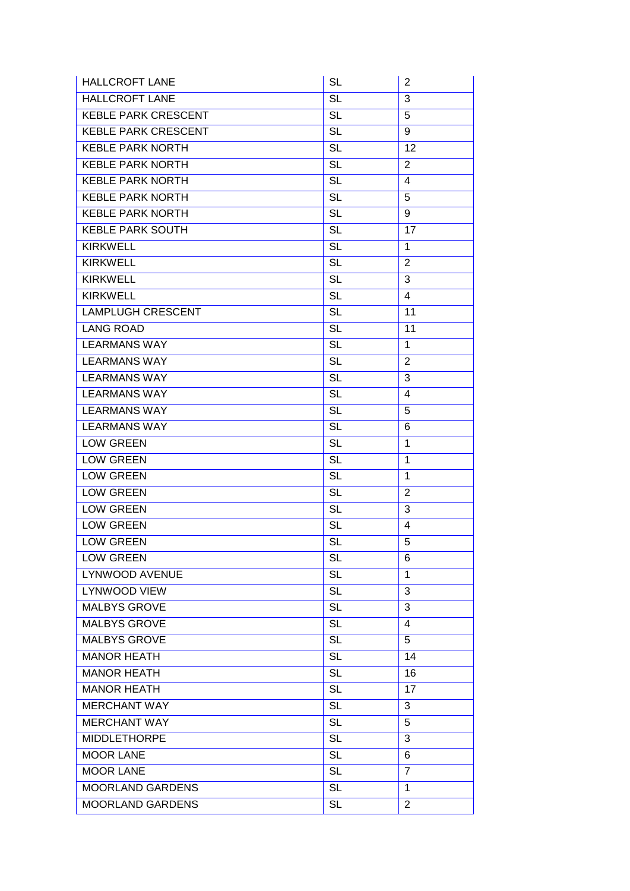| <b>HALLCROFT LANE</b>      | <b>SL</b>              | $\overline{2}$  |
|----------------------------|------------------------|-----------------|
| <b>HALLCROFT LANE</b>      | <b>SL</b>              | 3               |
| <b>KEBLE PARK CRESCENT</b> | <b>SL</b>              | 5               |
| <b>KEBLE PARK CRESCENT</b> | <b>SL</b>              | 9               |
| <b>KEBLE PARK NORTH</b>    | <b>SL</b>              | $\overline{12}$ |
| <b>KEBLE PARK NORTH</b>    | <b>SL</b>              | $\overline{2}$  |
| <b>KEBLE PARK NORTH</b>    | $\overline{SL}$        | $\overline{4}$  |
| <b>KEBLE PARK NORTH</b>    | <b>SL</b>              | 5               |
| <b>KEBLE PARK NORTH</b>    | <b>SL</b>              | 9               |
| <b>KEBLE PARK SOUTH</b>    | <b>SL</b>              | 17              |
| <b>KIRKWELL</b>            | <b>SL</b>              | 1               |
| <b>KIRKWELL</b>            | <b>SL</b>              | $\overline{2}$  |
| <b>KIRKWELL</b>            | <b>SL</b>              | 3               |
| <b>KIRKWELL</b>            | <b>SL</b>              | 4               |
| <b>LAMPLUGH CRESCENT</b>   | <b>SL</b>              | 11              |
| <b>LANG ROAD</b>           | $\overline{SL}$        | 11              |
| <b>LEARMANS WAY</b>        | <b>SL</b>              | 1               |
| <b>LEARMANS WAY</b>        | <b>SL</b>              | 2               |
| <b>LEARMANS WAY</b>        | $\overline{SL}$        | $\overline{3}$  |
| <b>LEARMANS WAY</b>        | <b>SL</b>              | 4               |
| <b>LEARMANS WAY</b>        | <b>SL</b>              | 5               |
| <b>LEARMANS WAY</b>        | <b>SL</b>              | 6               |
| <b>LOW GREEN</b>           | <b>SL</b>              | 1               |
| <b>LOW GREEN</b>           | <b>SL</b>              | 1               |
| <b>LOW GREEN</b>           | <b>SL</b>              | $\mathbf{1}$    |
| <b>LOW GREEN</b>           | <b>SL</b>              | $\overline{2}$  |
| <b>LOW GREEN</b>           | <b>SL</b>              | 3               |
| <b>LOW GREEN</b>           | <b>SL</b>              | $\overline{4}$  |
| <b>LOW GREEN</b>           | $\overline{\text{SL}}$ | $\overline{5}$  |
| <b>LOW GREEN</b>           | <b>SL</b>              | 6               |
| <b>LYNWOOD AVENUE</b>      | <b>SL</b>              | $\mathbf 1$     |
| <b>LYNWOOD VIEW</b>        | <b>SL</b>              | 3               |
| <b>MALBYS GROVE</b>        | <b>SL</b>              | 3               |
| <b>MALBYS GROVE</b>        | <b>SL</b>              | 4               |
| <b>MALBYS GROVE</b>        | $\overline{\text{SL}}$ | $\overline{5}$  |
| <b>MANOR HEATH</b>         | <b>SL</b>              | 14              |
| <b>MANOR HEATH</b>         | <b>SL</b>              | 16              |
| <b>MANOR HEATH</b>         | $\overline{\text{SL}}$ | 17              |
| <b>MERCHANT WAY</b>        | <b>SL</b>              | 3               |
| <b>MERCHANT WAY</b>        | <b>SL</b>              | 5               |
| <b>MIDDLETHORPE</b>        | <b>SL</b>              | 3               |
| <b>MOOR LANE</b>           | <b>SL</b>              | 6               |
| <b>MOOR LANE</b>           | <b>SL</b>              | $\overline{7}$  |
| <b>MOORLAND GARDENS</b>    | <b>SL</b>              | $\mathbf{1}$    |
| MOORLAND GARDENS           | <b>SL</b>              | $\overline{2}$  |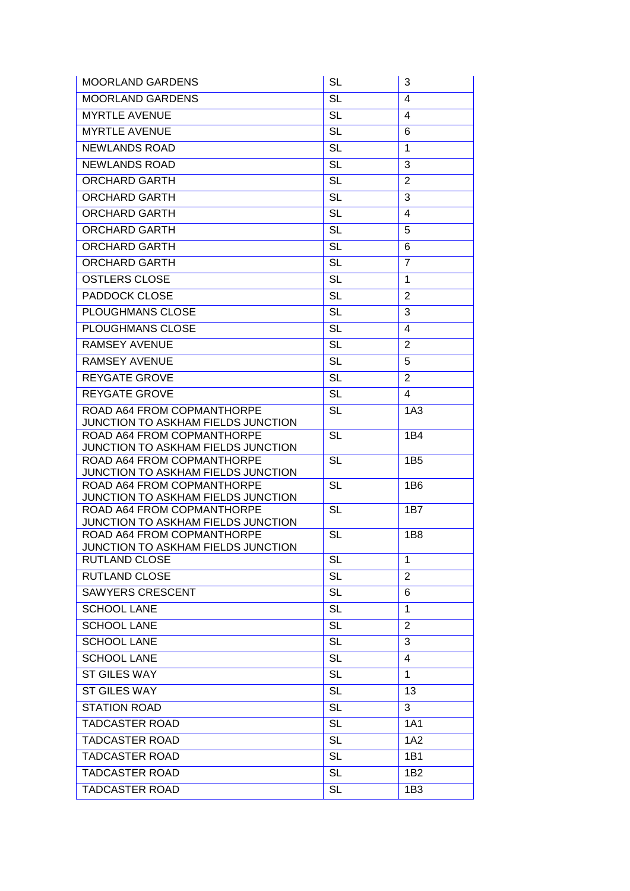| <b>MOORLAND GARDENS</b>                                          | <b>SL</b>              | 3               |
|------------------------------------------------------------------|------------------------|-----------------|
| <b>MOORLAND GARDENS</b>                                          | $\overline{\text{SL}}$ | 4               |
| <b>MYRTLE AVENUE</b>                                             | <b>SL</b>              | 4               |
| <b>MYRTLE AVENUE</b>                                             | <b>SL</b>              | 6               |
| <b>NEWLANDS ROAD</b>                                             | $\overline{\text{SL}}$ | 1               |
| <b>NEWLANDS ROAD</b>                                             | <b>SL</b>              | 3               |
| <b>ORCHARD GARTH</b>                                             | <b>SL</b>              | $\overline{2}$  |
| <b>ORCHARD GARTH</b>                                             | <b>SL</b>              | $\overline{3}$  |
| <b>ORCHARD GARTH</b>                                             | <b>SL</b>              | 4               |
| <b>ORCHARD GARTH</b>                                             | <b>SL</b>              | 5               |
| <b>ORCHARD GARTH</b>                                             | $\overline{\text{SL}}$ | 6               |
| <b>ORCHARD GARTH</b>                                             | <b>SL</b>              | $\overline{7}$  |
| <b>OSTLERS CLOSE</b>                                             | <b>SL</b>              | 1               |
| PADDOCK CLOSE                                                    | <b>SL</b>              | $\overline{2}$  |
| PLOUGHMANS CLOSE                                                 | <b>SL</b>              | 3               |
| <b>PLOUGHMANS CLOSE</b>                                          | <b>SL</b>              | 4               |
| <b>RAMSEY AVENUE</b>                                             | <b>SL</b>              | $\overline{2}$  |
| <b>RAMSEY AVENUE</b>                                             | <b>SL</b>              | 5               |
| <b>REYGATE GROVE</b>                                             | <b>SL</b>              | $\overline{2}$  |
| <b>REYGATE GROVE</b>                                             | <b>SL</b>              | 4               |
| ROAD A64 FROM COPMANTHORPE                                       | <b>SL</b>              | 1A3             |
| JUNCTION TO ASKHAM FIELDS JUNCTION                               |                        |                 |
| ROAD A64 FROM COPMANTHORPE                                       | <b>SL</b>              | 1B4             |
| JUNCTION TO ASKHAM FIELDS JUNCTION<br>ROAD A64 FROM COPMANTHORPE | <b>SL</b>              | 1B <sub>5</sub> |
| JUNCTION TO ASKHAM FIELDS JUNCTION                               |                        |                 |
| ROAD A64 FROM COPMANTHORPE                                       | $\overline{SL}$        | 1 <sub>B6</sub> |
| JUNCTION TO ASKHAM FIELDS JUNCTION                               |                        |                 |
| ROAD A64 FROM COPMANTHORPE<br>JUNCTION TO ASKHAM FIELDS JUNCTION | <b>SL</b>              | 1B7             |
| ROAD A64 FROM COPMANTHORPE                                       | <b>SL</b>              | 1B8             |
| JUNCTION TO ASKHAM FIELDS JUNCTION                               |                        |                 |
| <b>RUTLAND CLOSE</b>                                             | <b>SL</b>              | 1               |
| <b>RUTLAND CLOSE</b>                                             | <b>SL</b>              | $\overline{2}$  |
| <b>SAWYERS CRESCENT</b>                                          | <b>SL</b>              | 6               |
| <b>SCHOOL LANE</b>                                               | <b>SL</b>              | $\mathbf 1$     |
| <b>SCHOOL LANE</b>                                               | <b>SL</b>              | $\overline{2}$  |
| <b>SCHOOL LANE</b>                                               | <b>SL</b>              | 3               |
| <b>SCHOOL LANE</b>                                               | $\overline{SL}$        | $\overline{4}$  |
| <b>ST GILES WAY</b>                                              | <b>SL</b>              | $\mathbf{1}$    |
| <b>ST GILES WAY</b>                                              | <b>SL</b>              | 13              |
| <b>STATION ROAD</b>                                              | <b>SL</b>              | 3               |
| <b>TADCASTER ROAD</b>                                            | <b>SL</b>              | 1A1             |
| <b>TADCASTER ROAD</b>                                            | <b>SL</b>              | 1A2             |
| <b>TADCASTER ROAD</b>                                            | <b>SL</b>              | 1B1             |
| <b>TADCASTER ROAD</b>                                            | <b>SL</b>              | 1B <sub>2</sub> |
| <b>TADCASTER ROAD</b>                                            | <b>SL</b>              | 1B <sub>3</sub> |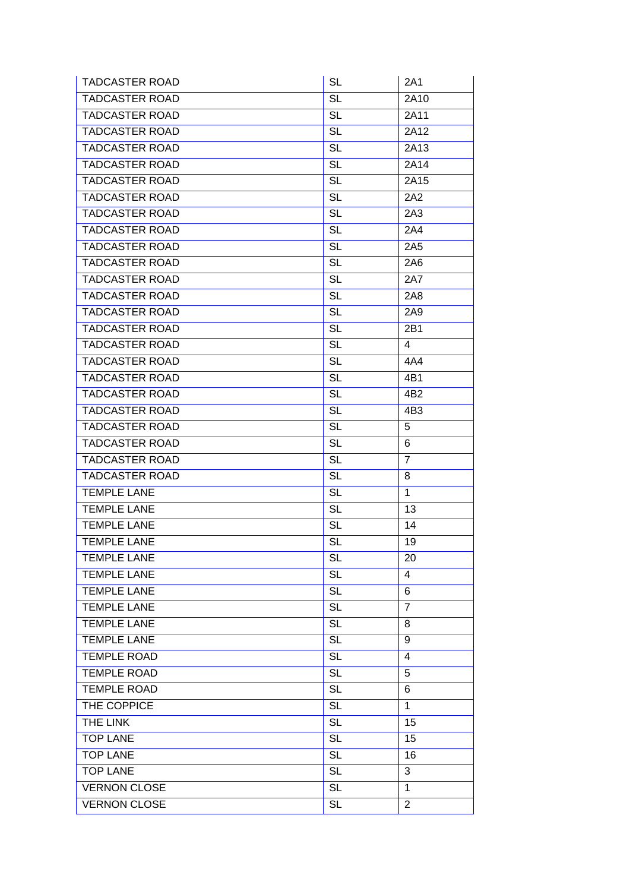| <b>TADCASTER ROAD</b> | <b>SL</b>       | 2A1             |
|-----------------------|-----------------|-----------------|
| <b>TADCASTER ROAD</b> | <b>SL</b>       | 2A10            |
| <b>TADCASTER ROAD</b> | SL              | 2A11            |
| <b>TADCASTER ROAD</b> | <b>SL</b>       | 2A12            |
| <b>TADCASTER ROAD</b> | <b>SL</b>       | 2A13            |
| <b>TADCASTER ROAD</b> | <b>SL</b>       | 2A14            |
| <b>TADCASTER ROAD</b> | <b>SL</b>       | 2A15            |
| <b>TADCASTER ROAD</b> | <b>SL</b>       | 2A2             |
| <b>TADCASTER ROAD</b> | SL              | 2A3             |
| <b>TADCASTER ROAD</b> | <b>SL</b>       | 2A4             |
| <b>TADCASTER ROAD</b> | <b>SL</b>       | 2A5             |
| <b>TADCASTER ROAD</b> | <b>SL</b>       | 2A6             |
| <b>TADCASTER ROAD</b> | SL              | 2A7             |
| <b>TADCASTER ROAD</b> | <b>SL</b>       | <b>2A8</b>      |
| <b>TADCASTER ROAD</b> | <b>SL</b>       | 2A9             |
| <b>TADCASTER ROAD</b> | <b>SL</b>       | 2B1             |
| <b>TADCASTER ROAD</b> | <b>SL</b>       | 4               |
| <b>TADCASTER ROAD</b> | <b>SL</b>       | 4A4             |
| <b>TADCASTER ROAD</b> | <b>SL</b>       | 4B1             |
| <b>TADCASTER ROAD</b> | <b>SL</b>       | 4B <sub>2</sub> |
| <b>TADCASTER ROAD</b> | <b>SL</b>       | 4B3             |
| <b>TADCASTER ROAD</b> | <b>SL</b>       | 5               |
| <b>TADCASTER ROAD</b> | <b>SL</b>       | 6               |
| <b>TADCASTER ROAD</b> | <b>SL</b>       | $\overline{7}$  |
| <b>TADCASTER ROAD</b> | <b>SL</b>       | 8               |
| <b>TEMPLE LANE</b>    | <b>SL</b>       | $\mathbf{1}$    |
| <b>TEMPLE LANE</b>    | <b>SL</b>       | 13              |
| <b>TEMPLE LANE</b>    | <b>SL</b>       | 14              |
| <b>TEMPLE LANE</b>    | <b>SL</b>       | 19              |
| <b>TEMPLE LANE</b>    | <b>SL</b>       | 20              |
| <b>TEMPLE LANE</b>    | <b>SL</b>       | 4               |
| <b>TEMPLE LANE</b>    | <b>SL</b>       | 6               |
| <b>TEMPLE LANE</b>    | $\overline{SL}$ | $\overline{7}$  |
| <b>TEMPLE LANE</b>    | <b>SL</b>       | 8               |
| <b>TEMPLE LANE</b>    | <b>SL</b>       | 9               |
| <b>TEMPLE ROAD</b>    | <b>SL</b>       | $\overline{4}$  |
| <b>TEMPLE ROAD</b>    | <b>SL</b>       | 5               |
| <b>TEMPLE ROAD</b>    | <b>SL</b>       | 6               |
| THE COPPICE           | <b>SL</b>       | $\mathbf{1}$    |
| THE LINK              | <b>SL</b>       | 15              |
| <b>TOP LANE</b>       | <b>SL</b>       | 15              |
| <b>TOP LANE</b>       | <b>SL</b>       | 16              |
| <b>TOP LANE</b>       | <b>SL</b>       | 3               |
| <b>VERNON CLOSE</b>   | <b>SL</b>       | 1               |
| <b>VERNON CLOSE</b>   | <b>SL</b>       | $\overline{2}$  |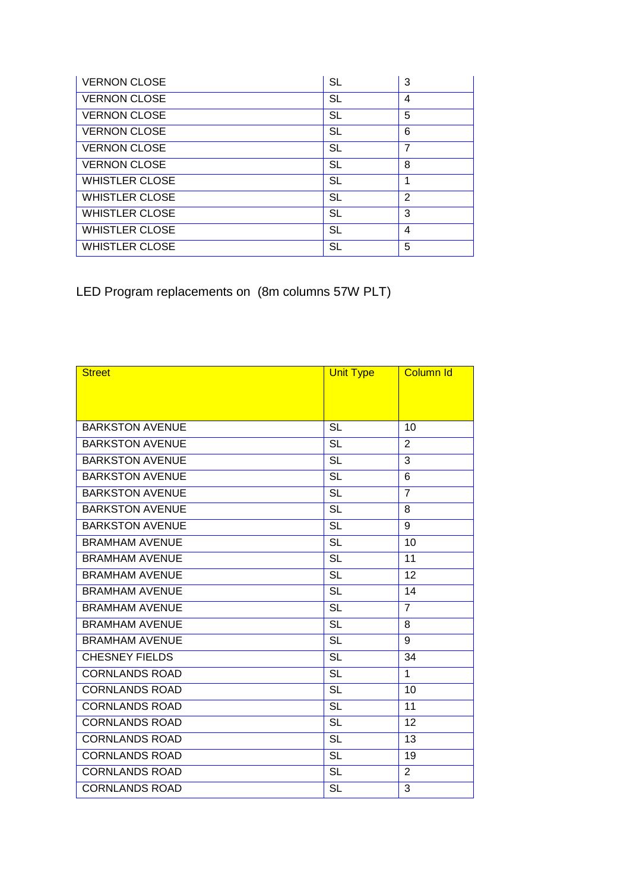| <b>VERNON CLOSE</b>   | <b>SL</b> | 3              |
|-----------------------|-----------|----------------|
| <b>VERNON CLOSE</b>   | <b>SL</b> | 4              |
| <b>VERNON CLOSE</b>   | <b>SL</b> | 5              |
| <b>VERNON CLOSE</b>   | <b>SL</b> | 6              |
| <b>VERNON CLOSE</b>   | <b>SL</b> | 7              |
| <b>VERNON CLOSE</b>   | <b>SL</b> | 8              |
| <b>WHISTLER CLOSE</b> | <b>SL</b> | 4              |
| <b>WHISTLER CLOSE</b> | <b>SL</b> | $\overline{2}$ |
| <b>WHISTLER CLOSE</b> | <b>SL</b> | 3              |
| <b>WHISTLER CLOSE</b> | <b>SL</b> | 4              |
| <b>WHISTLER CLOSE</b> | <b>SL</b> | 5              |

LED Program replacements on (8m columns 57W PLT)

| <b>Street</b>          | <b>Unit Type</b>       | <b>Column Id</b> |
|------------------------|------------------------|------------------|
|                        |                        |                  |
|                        |                        |                  |
| <b>BARKSTON AVENUE</b> | <b>SL</b>              | 10               |
| <b>BARKSTON AVENUE</b> | <b>SL</b>              | 2                |
| <b>BARKSTON AVENUE</b> | <b>SL</b>              | 3                |
| <b>BARKSTON AVENUE</b> | <b>SL</b>              | 6                |
| <b>BARKSTON AVENUE</b> | <b>SL</b>              | $\overline{7}$   |
| <b>BARKSTON AVENUE</b> | $\overline{SL}$        | 8                |
| <b>BARKSTON AVENUE</b> | <b>SL</b>              | 9                |
| <b>BRAMHAM AVENUE</b>  | <b>SL</b>              | 10               |
| <b>BRAMHAM AVENUE</b>  | <b>SL</b>              | 11               |
| <b>BRAMHAM AVENUE</b>  | <b>SL</b>              | 12               |
| <b>BRAMHAM AVENUE</b>  | $\overline{\text{SL}}$ | 14               |
| <b>BRAMHAM AVENUE</b>  | <b>SL</b>              | $\overline{7}$   |
| <b>BRAMHAM AVENUE</b>  | <b>SL</b>              | 8                |
| <b>BRAMHAM AVENUE</b>  | <b>SL</b>              | 9                |
| <b>CHESNEY FIELDS</b>  | <b>SL</b>              | 34               |
| <b>CORNLANDS ROAD</b>  | $\overline{\text{SL}}$ | 1                |
| <b>CORNLANDS ROAD</b>  | <b>SL</b>              | 10               |
| <b>CORNLANDS ROAD</b>  | <b>SL</b>              | 11               |
| <b>CORNLANDS ROAD</b>  | <b>SL</b>              | 12               |
| <b>CORNLANDS ROAD</b>  | <b>SL</b>              | 13               |
| <b>CORNLANDS ROAD</b>  | <b>SL</b>              | 19               |
| <b>CORNLANDS ROAD</b>  | <b>SL</b>              | $\overline{2}$   |
| <b>CORNLANDS ROAD</b>  | <b>SL</b>              | 3                |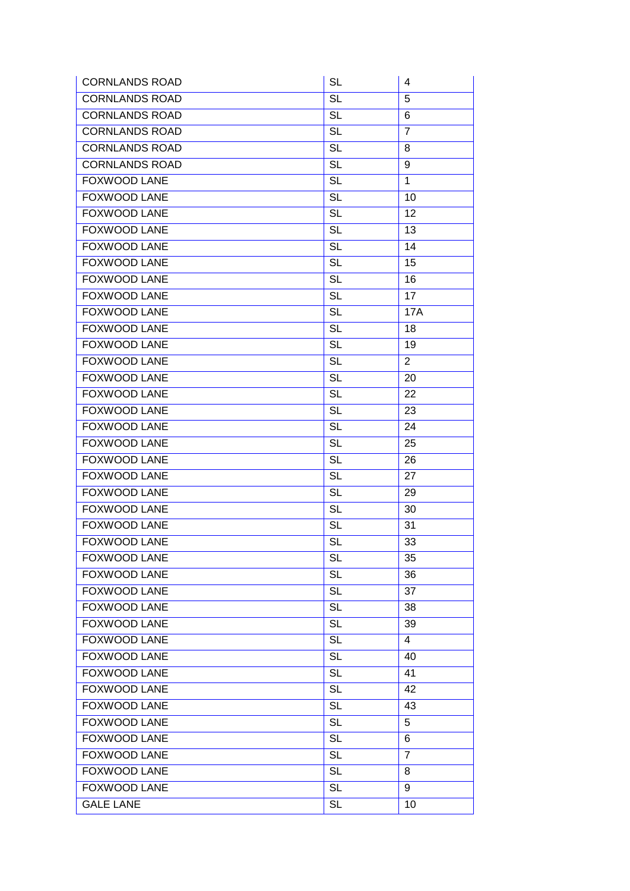| <b>CORNLANDS ROAD</b> | <b>SL</b>       | 4              |
|-----------------------|-----------------|----------------|
| <b>CORNLANDS ROAD</b> | $\overline{SL}$ | 5              |
| <b>CORNLANDS ROAD</b> | <b>SL</b>       | 6              |
| <b>CORNLANDS ROAD</b> | <b>SL</b>       | $\overline{7}$ |
| <b>CORNLANDS ROAD</b> | <b>SL</b>       | 8              |
| <b>CORNLANDS ROAD</b> | <b>SL</b>       | 9              |
| <b>FOXWOOD LANE</b>   | <b>SL</b>       | 1              |
| FOXWOOD LANE          | <b>SL</b>       | 10             |
| FOXWOOD LANE          | <b>SL</b>       | 12             |
| <b>FOXWOOD LANE</b>   | <b>SL</b>       | 13             |
| <b>FOXWOOD LANE</b>   | $\overline{SL}$ | 14             |
| FOXWOOD LANE          | <b>SL</b>       | 15             |
| <b>FOXWOOD LANE</b>   | <b>SL</b>       | 16             |
| <b>FOXWOOD LANE</b>   | <b>SL</b>       | 17             |
| <b>FOXWOOD LANE</b>   | <b>SL</b>       | <b>17A</b>     |
| FOXWOOD LANE          | <b>SL</b>       | 18             |
| <b>FOXWOOD LANE</b>   | <b>SL</b>       | 19             |
| <b>FOXWOOD LANE</b>   | $\overline{SL}$ | $\overline{2}$ |
| FOXWOOD LANE          | <b>SL</b>       | 20             |
| <b>FOXWOOD LANE</b>   | <b>SL</b>       | 22             |
| FOXWOOD LANE          | <b>SL</b>       | 23             |
| <b>FOXWOOD LANE</b>   | <b>SL</b>       | 24             |
| <b>FOXWOOD LANE</b>   | <b>SL</b>       | 25             |
| <b>FOXWOOD LANE</b>   | <b>SL</b>       | 26             |
| FOXWOOD LANE          | <b>SL</b>       | 27             |
| <b>FOXWOOD LANE</b>   | <b>SL</b>       | 29             |
| FOXWOOD LANE          | <b>SL</b>       | 30             |
| FOXWOOD LANE          | <b>SL</b>       | 31             |
| <b>FOXWOOD LANE</b>   | <b>SL</b>       | 33             |
| FOXWOOD LANE          | <b>SL</b>       | 35             |
| FOXWOOD LANE          | <b>SL</b>       | 36             |
| FOXWOOD LANE          | <b>SL</b>       | 37             |
| <b>FOXWOOD LANE</b>   | $\overline{SL}$ | 38             |
| <b>FOXWOOD LANE</b>   | <b>SL</b>       | 39             |
| FOXWOOD LANE          | <b>SL</b>       | 4              |
| <b>FOXWOOD LANE</b>   | <b>SL</b>       | 40             |
| FOXWOOD LANE          | <b>SL</b>       | 41             |
| FOXWOOD LANE          | <b>SL</b>       | 42             |
| <b>FOXWOOD LANE</b>   | <b>SL</b>       | 43             |
| <b>FOXWOOD LANE</b>   | <b>SL</b>       | 5              |
| FOXWOOD LANE          | <b>SL</b>       | 6              |
| FOXWOOD LANE          | <b>SL</b>       | $\overline{7}$ |
| <b>FOXWOOD LANE</b>   | <b>SL</b>       | 8              |
| FOXWOOD LANE          | <b>SL</b>       | 9              |
| <b>GALE LANE</b>      | <b>SL</b>       | 10             |
|                       |                 |                |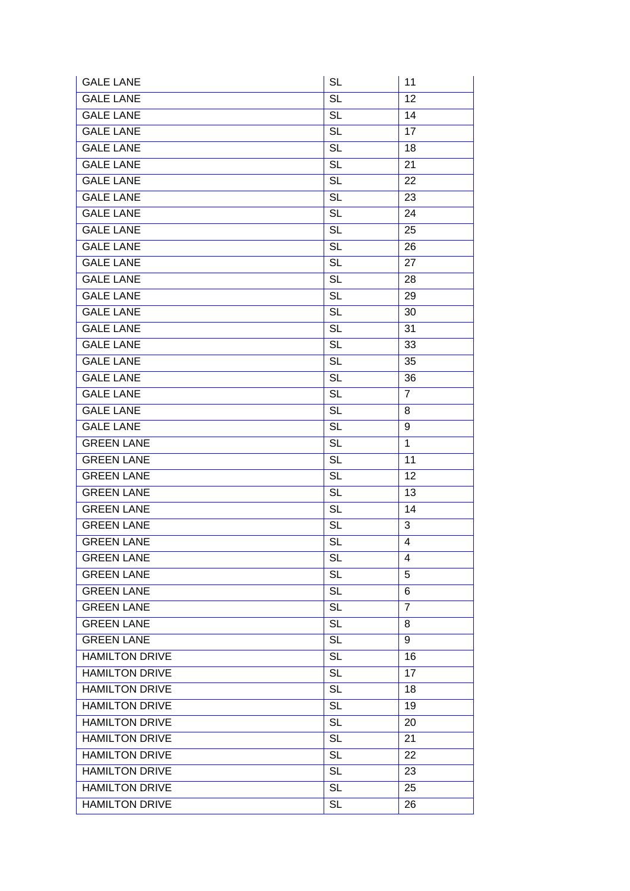| <b>GALE LANE</b>      | <b>SL</b>              | 11             |
|-----------------------|------------------------|----------------|
| <b>GALE LANE</b>      | <b>SL</b>              | 12             |
| <b>GALE LANE</b>      | <b>SL</b>              | 14             |
| <b>GALE LANE</b>      | <b>SL</b>              | 17             |
| <b>GALE LANE</b>      | <b>SL</b>              | 18             |
| <b>GALE LANE</b>      | <b>SL</b>              | 21             |
| <b>GALE LANE</b>      | <b>SL</b>              | 22             |
| <b>GALE LANE</b>      | <b>SL</b>              | 23             |
| <b>GALE LANE</b>      | <b>SL</b>              | 24             |
| <b>GALE LANE</b>      | <b>SL</b>              | 25             |
| <b>GALE LANE</b>      | $\overline{\text{SL}}$ | 26             |
| <b>GALE LANE</b>      | <b>SL</b>              | 27             |
| <b>GALE LANE</b>      | <b>SL</b>              | 28             |
| <b>GALE LANE</b>      | <b>SL</b>              | 29             |
| <b>GALE LANE</b>      | <b>SL</b>              | 30             |
| <b>GALE LANE</b>      | <b>SL</b>              | 31             |
| <b>GALE LANE</b>      | <b>SL</b>              | 33             |
| <b>GALE LANE</b>      | <b>SL</b>              | 35             |
| <b>GALE LANE</b>      | <b>SL</b>              | 36             |
| <b>GALE LANE</b>      | <b>SL</b>              | $\overline{7}$ |
| <b>GALE LANE</b>      | <b>SL</b>              | 8              |
| <b>GALE LANE</b>      | <b>SL</b>              | 9              |
| <b>GREEN LANE</b>     | <b>SL</b>              | $\mathbf{1}$   |
| <b>GREEN LANE</b>     | <b>SL</b>              | 11             |
| <b>GREEN LANE</b>     | <b>SL</b>              | 12             |
| <b>GREEN LANE</b>     | <b>SL</b>              | 13             |
| <b>GREEN LANE</b>     | <b>SL</b>              | 14             |
| <b>GREEN LANE</b>     | <b>SL</b>              | 3              |
| <b>GREEN LANE</b>     | <b>SL</b>              | 4              |
| <b>GREEN LANE</b>     | <b>SL</b>              | 4              |
| <b>GREEN LANE</b>     | <b>SL</b>              | 5              |
| <b>GREEN LANE</b>     | <b>SL</b>              | 6              |
| <b>GREEN LANE</b>     | $\overline{SL}$        | $\overline{7}$ |
| <b>GREEN LANE</b>     | <b>SL</b>              | 8              |
| <b>GREEN LANE</b>     | <b>SL</b>              | 9              |
| <b>HAMILTON DRIVE</b> | <b>SL</b>              | 16             |
| <b>HAMILTON DRIVE</b> | <b>SL</b>              | 17             |
| <b>HAMILTON DRIVE</b> | <b>SL</b>              | 18             |
| <b>HAMILTON DRIVE</b> | <b>SL</b>              | 19             |
| <b>HAMILTON DRIVE</b> | <b>SL</b>              | 20             |
| <b>HAMILTON DRIVE</b> | <b>SL</b>              | 21             |
| <b>HAMILTON DRIVE</b> | <b>SL</b>              | 22             |
| <b>HAMILTON DRIVE</b> | <b>SL</b>              | 23             |
| <b>HAMILTON DRIVE</b> | <b>SL</b>              | 25             |
| <b>HAMILTON DRIVE</b> | <b>SL</b>              | 26             |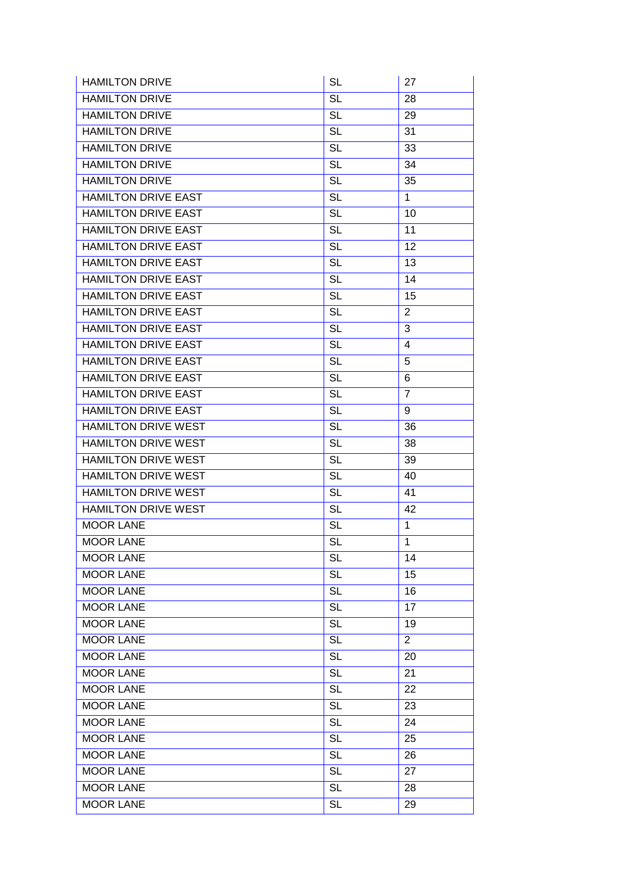| <b>HAMILTON DRIVE</b>      | <b>SL</b>       | 27             |
|----------------------------|-----------------|----------------|
| <b>HAMILTON DRIVE</b>      | <b>SL</b>       | 28             |
| <b>HAMILTON DRIVE</b>      | <b>SL</b>       | 29             |
| <b>HAMILTON DRIVE</b>      | <b>SL</b>       | 31             |
| <b>HAMILTON DRIVE</b>      | <b>SL</b>       | 33             |
| <b>HAMILTON DRIVE</b>      | <b>SL</b>       | 34             |
| <b>HAMILTON DRIVE</b>      | <b>SL</b>       | 35             |
| <b>HAMILTON DRIVE EAST</b> | <b>SL</b>       | $\mathbf{1}$   |
| <b>HAMILTON DRIVE EAST</b> | <b>SL</b>       | 10             |
| <b>HAMILTON DRIVE EAST</b> | <b>SL</b>       | 11             |
| <b>HAMILTON DRIVE EAST</b> | <b>SL</b>       | 12             |
| <b>HAMILTON DRIVE EAST</b> | <b>SL</b>       | 13             |
| <b>HAMILTON DRIVE EAST</b> | <b>SL</b>       | 14             |
| <b>HAMILTON DRIVE EAST</b> | <b>SL</b>       | 15             |
| <b>HAMILTON DRIVE EAST</b> | <b>SL</b>       | $\overline{2}$ |
| <b>HAMILTON DRIVE EAST</b> | <b>SL</b>       | 3              |
| <b>HAMILTON DRIVE EAST</b> | <b>SL</b>       | 4              |
| <b>HAMILTON DRIVE EAST</b> | <b>SL</b>       | 5              |
| <b>HAMILTON DRIVE EAST</b> | <b>SL</b>       | 6              |
| <b>HAMILTON DRIVE EAST</b> | <b>SL</b>       | $\overline{7}$ |
| <b>HAMILTON DRIVE EAST</b> | <b>SL</b>       | 9              |
| <b>HAMILTON DRIVE WEST</b> | <b>SL</b>       | 36             |
| HAMILTON DRIVE WEST        | <b>SL</b>       | 38             |
| <b>HAMILTON DRIVE WEST</b> | <b>SL</b>       | 39             |
| HAMILTON DRIVE WEST        | <b>SL</b>       | 40             |
| <b>HAMILTON DRIVE WEST</b> | <b>SL</b>       | 41             |
| <b>HAMILTON DRIVE WEST</b> | <b>SL</b>       | 42             |
| <b>MOOR LANE</b>           | <b>SL</b>       | $\mathbf{1}$   |
| <b>MOOR LANE</b>           | $\overline{SL}$ | $\mathbf{1}$   |
| <b>MOOR LANE</b>           | <b>SL</b>       | 14             |
| <b>MOOR LANE</b>           | <b>SL</b>       | 15             |
| <b>MOOR LANE</b>           | <b>SL</b>       | 16             |
| <b>MOOR LANE</b>           | <b>SL</b>       | 17             |
| <b>MOOR LANE</b>           | <b>SL</b>       | 19             |
| <b>MOOR LANE</b>           | <b>SL</b>       | $\overline{2}$ |
| <b>MOOR LANE</b>           | <b>SL</b>       | 20             |
| <b>MOOR LANE</b>           | <b>SL</b>       | 21             |
| <b>MOOR LANE</b>           | <b>SL</b>       | 22             |
| <b>MOOR LANE</b>           | <b>SL</b>       | 23             |
| <b>MOOR LANE</b>           | <b>SL</b>       | 24             |
| <b>MOOR LANE</b>           | <b>SL</b>       | 25             |
| <b>MOOR LANE</b>           | <b>SL</b>       | 26             |
| <b>MOOR LANE</b>           | <b>SL</b>       | 27             |
| <b>MOOR LANE</b>           | <b>SL</b>       | 28             |
| <b>MOOR LANE</b>           | <b>SL</b>       | 29             |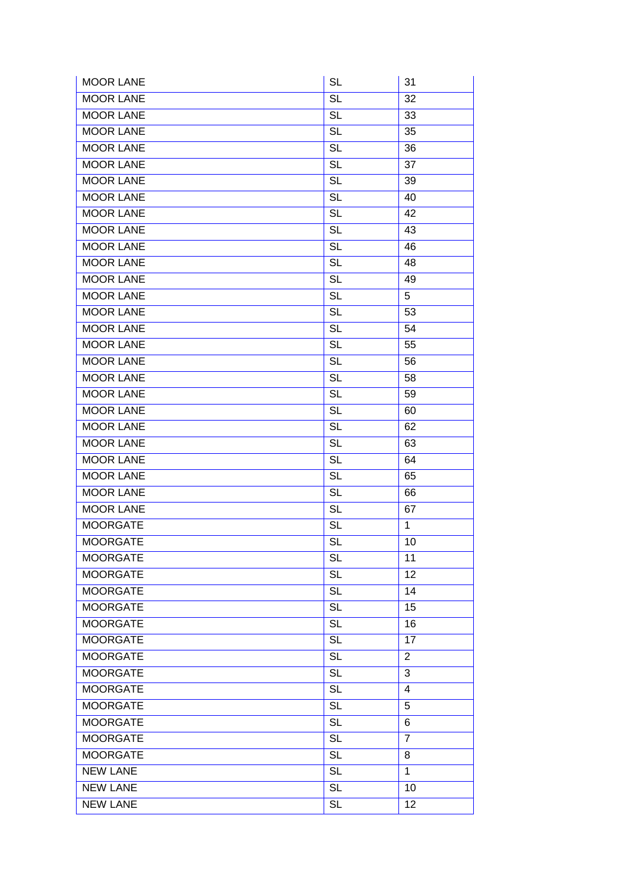| <b>MOOR LANE</b> | <b>SL</b>              | 31             |
|------------------|------------------------|----------------|
| <b>MOOR LANE</b> | $\overline{SL}$        | 32             |
| <b>MOOR LANE</b> | <b>SL</b>              | 33             |
| <b>MOOR LANE</b> | <b>SL</b>              | 35             |
| <b>MOOR LANE</b> | <b>SL</b>              | 36             |
| <b>MOOR LANE</b> | <b>SL</b>              | 37             |
| <b>MOOR LANE</b> | <b>SL</b>              | 39             |
| <b>MOOR LANE</b> | <b>SL</b>              | 40             |
| <b>MOOR LANE</b> | <b>SL</b>              | 42             |
| <b>MOOR LANE</b> | <b>SL</b>              | 43             |
| <b>MOOR LANE</b> | $\overline{\text{SL}}$ | 46             |
| <b>MOOR LANE</b> | <b>SL</b>              | 48             |
| <b>MOOR LANE</b> | <b>SL</b>              | 49             |
| <b>MOOR LANE</b> | <b>SL</b>              | 5              |
| <b>MOOR LANE</b> | <b>SL</b>              | 53             |
| <b>MOOR LANE</b> | <b>SL</b>              | 54             |
| <b>MOOR LANE</b> | <b>SL</b>              | 55             |
| <b>MOOR LANE</b> | $\overline{\text{SL}}$ | 56             |
| <b>MOOR LANE</b> | <b>SL</b>              | 58             |
| <b>MOOR LANE</b> | <b>SL</b>              | 59             |
| <b>MOOR LANE</b> | <b>SL</b>              | 60             |
| <b>MOOR LANE</b> | <b>SL</b>              | 62             |
| <b>MOOR LANE</b> | <b>SL</b>              | 63             |
| <b>MOOR LANE</b> | $\overline{\text{SL}}$ | 64             |
| <b>MOOR LANE</b> | <b>SL</b>              | 65             |
| <b>MOOR LANE</b> | <b>SL</b>              | 66             |
| <b>MOOR LANE</b> | <b>SL</b>              | 67             |
| <b>MOORGATE</b>  | <b>SL</b>              | $\mathbf{1}$   |
| <b>MOORGATE</b>  | <b>SL</b>              | 10             |
| <b>MOORGATE</b>  | <b>SL</b>              | 11             |
| <b>MOORGATE</b>  | <b>SL</b>              | 12             |
| <b>MOORGATE</b>  | <b>SL</b>              | 14             |
| <b>MOORGATE</b>  | $\overline{\text{SL}}$ | 15             |
| <b>MOORGATE</b>  | <b>SL</b>              | 16             |
| <b>MOORGATE</b>  | <b>SL</b>              | 17             |
| <b>MOORGATE</b>  | <b>SL</b>              | $\overline{2}$ |
| <b>MOORGATE</b>  | <b>SL</b>              | 3              |
| <b>MOORGATE</b>  | <b>SL</b>              | 4              |
| <b>MOORGATE</b>  | <b>SL</b>              | 5              |
| <b>MOORGATE</b>  | <b>SL</b>              | 6              |
| <b>MOORGATE</b>  | <b>SL</b>              | 7              |
| <b>MOORGATE</b>  | <b>SL</b>              | 8              |
| <b>NEW LANE</b>  | <b>SL</b>              | $\mathbf{1}$   |
| <b>NEW LANE</b>  | <b>SL</b>              | 10             |
| <b>NEW LANE</b>  | <b>SL</b>              | 12             |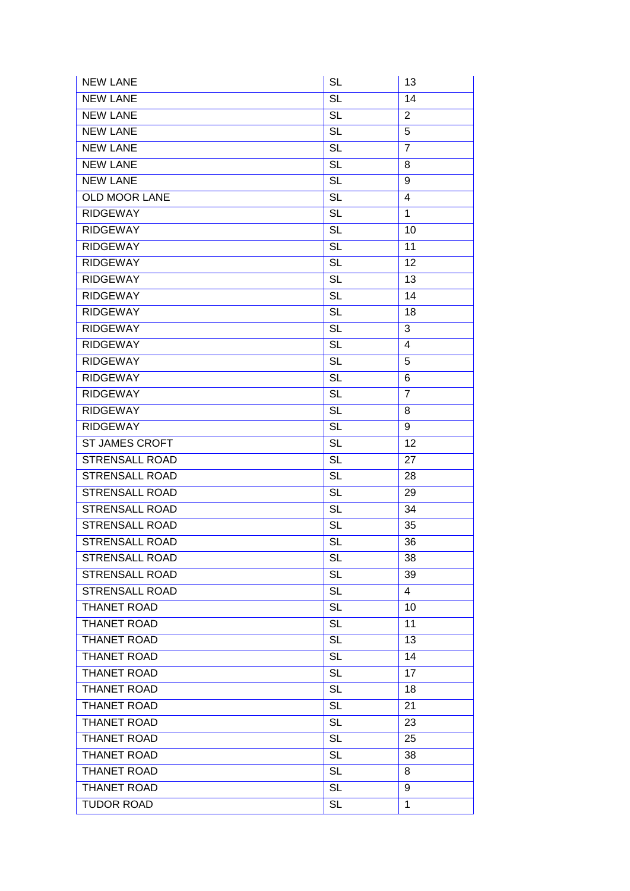| <b>NEW LANE</b>       | <b>SL</b>              | 13             |
|-----------------------|------------------------|----------------|
| <b>NEW LANE</b>       | <b>SL</b>              | 14             |
| <b>NEW LANE</b>       | <b>SL</b>              | $\overline{2}$ |
| <b>NEW LANE</b>       | <b>SL</b>              | 5              |
| <b>NEW LANE</b>       | <b>SL</b>              | $\overline{7}$ |
| <b>NEW LANE</b>       | <b>SL</b>              | 8              |
| <b>NEW LANE</b>       | $\overline{SL}$        | 9              |
| <b>OLD MOOR LANE</b>  | <b>SL</b>              | 4              |
| <b>RIDGEWAY</b>       | <b>SL</b>              | $\mathbf{1}$   |
| <b>RIDGEWAY</b>       | <b>SL</b>              | 10             |
| <b>RIDGEWAY</b>       | <b>SL</b>              | 11             |
| <b>RIDGEWAY</b>       | <b>SL</b>              | 12             |
| <b>RIDGEWAY</b>       | <b>SL</b>              | 13             |
| <b>RIDGEWAY</b>       | <b>SL</b>              | 14             |
| <b>RIDGEWAY</b>       | <b>SL</b>              | 18             |
| <b>RIDGEWAY</b>       | $\overline{SL}$        | 3              |
| <b>RIDGEWAY</b>       | <b>SL</b>              | 4              |
| <b>RIDGEWAY</b>       | <b>SL</b>              | 5              |
| <b>RIDGEWAY</b>       | $\overline{SL}$        | 6              |
| <b>RIDGEWAY</b>       | <b>SL</b>              | $\overline{7}$ |
| <b>RIDGEWAY</b>       | <b>SL</b>              | 8              |
| <b>RIDGEWAY</b>       | <b>SL</b>              | 9              |
| ST JAMES CROFT        | <b>SL</b>              | 12             |
| <b>STRENSALL ROAD</b> | <b>SL</b>              | 27             |
| <b>STRENSALL ROAD</b> | <b>SL</b>              | 28             |
| <b>STRENSALL ROAD</b> | <b>SL</b>              | 29             |
| <b>STRENSALL ROAD</b> | <b>SL</b>              | 34             |
| <b>STRENSALL ROAD</b> | <b>SL</b>              | 35             |
| <b>STRENSALL ROAD</b> | $\overline{\text{SL}}$ | 36             |
| <b>STRENSALL ROAD</b> | <b>SL</b>              | 38             |
| STRENSALL ROAD        | <b>SL</b>              | 39             |
| <b>STRENSALL ROAD</b> | <b>SL</b>              | 4              |
| <b>THANET ROAD</b>    | <b>SL</b>              | 10             |
| THANET ROAD           | <b>SL</b>              | 11             |
| THANET ROAD           | <b>SL</b>              | 13             |
| THANET ROAD           | <b>SL</b>              | 14             |
| <b>THANET ROAD</b>    | <b>SL</b>              | 17             |
| <b>THANET ROAD</b>    | $\overline{\text{SL}}$ | 18             |
| <b>THANET ROAD</b>    | <b>SL</b>              | 21             |
| <b>THANET ROAD</b>    | <b>SL</b>              | 23             |
| THANET ROAD           | <b>SL</b>              | 25             |
| <b>THANET ROAD</b>    | <b>SL</b>              | 38             |
| THANET ROAD           | <b>SL</b>              | 8              |
| <b>THANET ROAD</b>    | <b>SL</b>              | 9              |
| <b>TUDOR ROAD</b>     | <b>SL</b>              | $\mathbf 1$    |